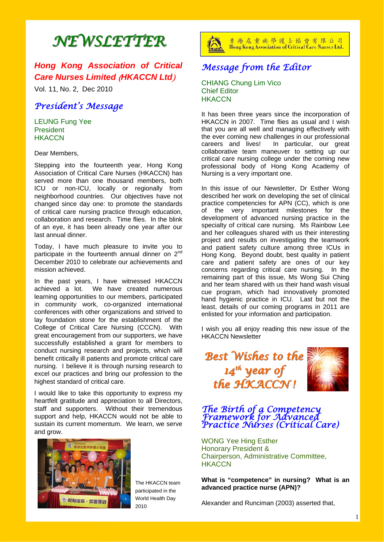# *NEWSLETTER NEWSLETTER*

# *Hong Kong Association of Critical Care Nurses Limited* (*HKACCN Ltd*)

Vol. 11, No. 2, Dec 2010

## *President's Message*

LEUNG Fung Yee **President HKACCN** 

Dear Members,

Stepping into the fourteenth year, Hong Kong Association of Critical Care Nurses (HKACCN) has served more than one thousand members, both ICU or non-ICU, locally or regionally from neighborhood countries. Our objectives have not changed since day one: to promote the standards of critical care nursing practice through education, collaboration and research. Time flies. In the blink of an eye, it has been already one year after our last annual dinner.

Today, I have much pleasure to invite you to participate in the fourteenth annual dinner on  $2<sup>nd</sup>$ December 2010 to celebrate our achievements and mission achieved.

In the past years, I have witnessed HKACCN achieved a lot. We have created numerous learning opportunities to our members, participated in community work, co-organized international conferences with other organizations and strived to lay foundation stone for the establishment of the College of Critical Care Nursing (CCCN). With great encouragement from our supporters, we have successfully established a grant for members to conduct nursing research and projects, which will benefit critically ill patients and promote critical care nursing. I believe it is through nursing research to excel our practices and bring our profession to the highest standard of critical care.

I would like to take this opportunity to express my heartfelt gratitude and appreciation to all Directors, staff and supporters. Without their tremendous support and help, HKACCN would not be able to sustain its current momentum. We learn, we serve and grow.



The HKACCN team participated in the World Health Day 2010



香港危重病學護士協會有限公司 Hong Kong Association of Critical Care Nurses Ltd.

# *Message from the Editor*

CHIANG Chung Lim Vico Chief Editor **HKACCN** 

It has been three years since the incorporation of HKACCN in 2007. Time flies as usual and I wish that you are all well and managing effectively with the ever coming new challenges in our professional careers and lives! In particular, our great collaborative team maneuver to setting up our critical care nursing college under the coming new professional body of Hong Kong Academy of Nursing is a very important one.

In this issue of our Newsletter, Dr Esther Wong described her work on developing the set of clinical practice competencies for APN (CC), which is one of the very important milestones for the development of advanced nursing practice in the specialty of critical care nursing. Ms Rainbow Lee and her colleagues shared with us their interesting project and results on investigating the teamwork and patient safety culture among three ICUs in Hong Kong. Beyond doubt, best quality in patient care and patient safety are ones of our key concerns regarding critical care nursing. In the remaining part of this issue, Ms Wong Sui Ching and her team shared with us their hand wash visual cue program, which had innovatively promoted hand hygienic practice in ICU. Last but not the least, details of our coming programs in 2011 are enlisted for your information and participation.

I wish you all enjoy reading this new issue of the HKACCN Newsletter

*Best Wishes to the* 14<sup>th</sup> year of *the HKACCN ! the HKACCN !* 



#### *The Birth of a Competency Framework for Advanced Practice Nurses (Critical Care)*

WONG Yee Hing Esther Honorary President & Chairperson, Administrative Committee, **HKACCN** 

**What is "competence" in nursing? What is an advanced practice nurse (APN)?**

Alexander and Runciman (2003) asserted that,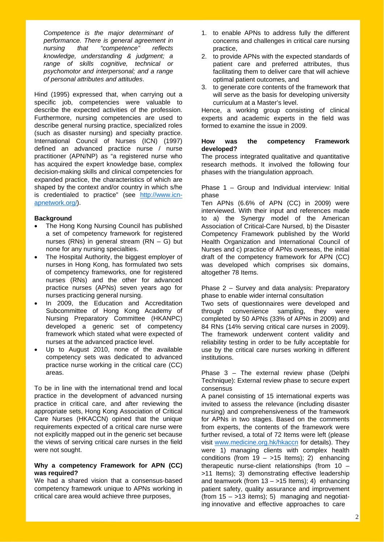*Competence is the major determinant of performance. There is general agreement in nursing that "competence" reflects knowledge, understanding & judgment; a range of skills cognitive, technical or psychomotor and interpersonal; and a range of personal attributes and attitudes*.

Hind (1995) expressed that, when carrying out a specific job, competencies were valuable to describe the expected activities of the profession. Furthermore, nursing competencies are used to describe general nursing practice, specialized roles (such as disaster nursing) and specialty practice. International Council of Nurses (ICN) (1997) defined an advanced practice nurse / nurse practitioner (APN/NP) as "a registered nurse who has acquired the expert knowledge base, complex decision-making skills and clinical competencies for expanded practice, the characteristics of which are shaped by the context and/or country in which s/he is credentialed to practice" (see http://www.icnapnetwork.org/).

#### **Background**

- The Hong Kong Nursing Council has published a set of competency framework for registered nurses (RNs) in general stream (RN – G) but none for any nursing specialties.
- The Hospital Authority, the biggest employer of nurses in Hong Kong, has formulated two sets of competency frameworks, one for registered nurses (RNs) and the other for advanced practice nurses (APNs) seven years ago for nurses practicing general nursing.
- In 2009, the Education and Accreditation Subcommittee of Hong Kong Academy of Nursing Preparatory Committee (HKANPC) developed a generic set of competency framework which stated what were expected of nurses at the advanced practice level.
- Up to August 2010, none of the available competency sets was dedicated to advanced practice nurse working in the critical care (CC) areas.

To be in line with the international trend and local practice in the development of advanced nursing practice in critical care, and after reviewing the appropriate sets, Hong Kong Association of Critical Care Nurses (HKACCN) opined that the unique requirements expected of a critical care nurse were not explicitly mapped out in the generic set because the views of serving critical care nurses in the field were not sought.

#### **Why a competency Framework for APN (CC) was required?**

We had a shared vision that a consensus-based competency framework unique to APNs working in critical care area would achieve three purposes,

- 1. to enable APNs to address fully the different concerns and challenges in critical care nursing practice,
- 2. to provide APNs with the expected standards of patient care and preferred attributes, thus facilitating them to deliver care that will achieve optimal patient outcomes, and
- 3. to generate core contents of the framework that will serve as the basis for developing university curriculum at a Master's level.

Hence, a working group consisting of clinical experts and academic experts in the field was formed to examine the issue in 2009.

#### **How was the competency Framework developed?**

The process integrated qualitative and quantitative research methods. It involved the following four phases with the triangulation approach.

Phase 1 – Group and Individual interview: Initial phase

Ten APNs (6.6% of APN (CC) in 2009) were interviewed. With their input and references made to a) the Synergy model of the American Association of Critical-Care Nursed, b) the Disaster Competency Framework published by the World Health Organization and International Council of Nurses and c) practice of APNs overseas, the initial draft of the competency framework for APN (CC) was developed which comprises six domains, altogether 78 Items.

Phase 2 – Survey and data analysis: Preparatory phase to enable wider internal consultation

Two sets of questionnaires were developed and through convenience sampling, they were completed by 50 APNs (33% of APNs in 2009) and 84 RNs (14% serving critical care nurses in 2009). The framework underwent content validity and reliability testing in order to be fully acceptable for use by the critical care nurses working in different institutions.

Phase 3 – The external review phase (Delphi Technique): External review phase to secure expert consensus

A panel consisting of 15 international experts was invited to assess the relevance (including disaster nursing) and comprehensiveness of the framework for APNs in two stages. Based on the comments from experts, the contents of the framework were further revised, a total of 72 Items were left (please visit www.medicine.org.hk/hkaccn for details). They were 1) managing clients with complex health conditions (from  $19 - 15$  Items); 2) enhancing therapeutic nurse-client relationships (from 10 – >11 Items); 3) demonstrating effective leadership and teamwork (from  $13 - 15$  Items); 4) enhancing patient safety, quality assurance and improvement (from  $15 - 13$  items); 5) managing and negotiating innovative and effective approaches to care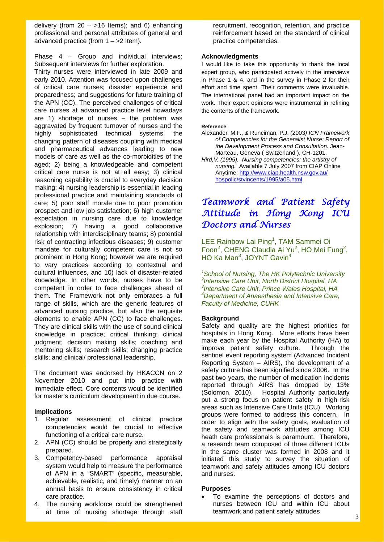delivery (from  $20 - 16$  Items); and 6) enhancing professional and personal attributes of general and advanced practice (from  $1 - \ge 2$  Item).

Phase 4 – Group and individual interviews: Subsequent interviews for further exploration.

Thirty nurses were interviewed in late 2009 and early 2010. Attention was focused upon challenges of critical care nurses; disaster experience and preparedness; and suggestions for future training of the APN (CC). The perceived challenges of critical care nurses at advanced practice level nowadays are 1) shortage of nurses – the problem was aggravated by frequent turnover of nurses and the highly sophisticated technical systems, the changing pattern of diseases coupling with medical and pharmaceutical advances leading to new models of care as well as the co-morbidities of the aged; 2) being a knowledgeable and competent critical care nurse is not at all easy; 3) clinical reasoning capability is crucial to everyday decision making; 4) nursing leadership is essential in leading professional practice and maintaining standards of care; 5) poor staff morale due to poor promotion prospect and low job satisfaction; 6) high customer expectation in nursing care due to knowledge explosion; 7) having a good collaborative relationship with interdisciplinary teams; 8) potential risk of contracting infectious diseases; 9) customer mandate for culturally competent care is not so prominent in Hong Kong; however we are required to vary practices according to contextual and cultural influences, and 10) lack of disaster-related knowledge. In other words, nurses have to be competent in order to face challenges ahead of them. The Framework not only embraces a full range of skills, which are the generic features of advanced nursing practice, but also the requisite elements to enable APN (CC) to face challenges. They are clinical skills with the use of sound clinical knowledge in practice; critical thinking; clinical judgment; decision making skills; coaching and mentoring skills; research skills; changing practice skills; and clinical/ professional leadership.

The document was endorsed by HKACCN on 2 November 2010 and put into practice with immediate effect. Core contents would be identified for master's curriculum development in due course.

#### **Implications**

- 1. Regular assessment of clinical practice competencies would be crucial to effective functioning of a critical care nurse.
- 2. APN (CC) should be properly and strategically prepared.
- 3. Competency-based performance appraisal system would help to measure the performance of APN in a "SMART" (specific, measurable, achievable, realistic, and timely) manner on an annual basis to ensure consistency in critical care practice.
- 4. The nursing workforce could be strengthened at time of nursing shortage through staff

recruitment, recognition, retention, and practice reinforcement based on the standard of clinical practice competencies.

#### **Acknowledgments**

I would like to take this opportunity to thank the local expert group, who participated actively in the interviews in Phase 1 & 4, and in the survey in Phase 2 for their effort and time spent. Their comments were invaluable. The international panel had an important impact on the work. Their expert opinions were instrumental in refining the contents of the framework.

#### **Reference**

Alexander, M.F., *&* Runciman, P.J. *(*2003*) ICN Framework of Competencies for the Generalist Nurse: Report of the Development Process and Consultation.* Jean- Marteau, Geneva ( Switzerland ), CH-1201.

*Hird,V. (1995). Nursing competencies: the artistry of nursing.* Available 7 July 2007 from CIAP Online Anytime: http://www.ciap.health.nsw.gov.au/ hospolic/stvincents/1995/a05.html

# *Teamwork and Patient Safety Attitude in Hong Kong ICU Doctors and Nurses*

LEE Rainbow Lai Ping<sup>1</sup>, TAM Sammei Oi Foon<sup>2</sup>, CHENG Claudia Ai Yu<sup>2</sup>, HO Mei Fung<sup>2</sup>, HO Ka Man<sup>3</sup>, JOYNT Gavin<sup>4</sup>

*1 School of Nursing, The HK Polytechnic University 2 Intensive Care Unit, North District Hospital, HA 3 Intensive Care Unit, Prince Wales Hospital, HA 4 Department of Anaesthesia and Intensive Care, Faculty of Medicine, CUHK* 

#### **Background**

Safety and quality are the highest priorities for hospitals in Hong Kong. More efforts have been make each year by the Hospital Authority (HA) to improve patient safety culture. Through the sentinel event reporting system (Advanced Incident Reporting System – AIRS), the development of a safety culture has been signified since 2006. In the past two years, the number of medication incidents reported through AIRS has dropped by 13% (Solomon, 2010). Hospital Authority particularly put a strong focus on patient safety in high-risk areas such as Intensive Care Units (ICU). Working groups were formed to address this concern. In order to align with the safety goals, evaluation of the safety and teamwork attitudes among ICU heath care professionals is paramount. Therefore, a research team composed of three different ICUs in the same cluster was formed in 2008 and it initiated this study to survey the situation of teamwork and safety attitudes among ICU doctors and nurses.

#### **Purposes**

 To examine the perceptions of doctors and nurses between ICU and within ICU about teamwork and patient safety attitudes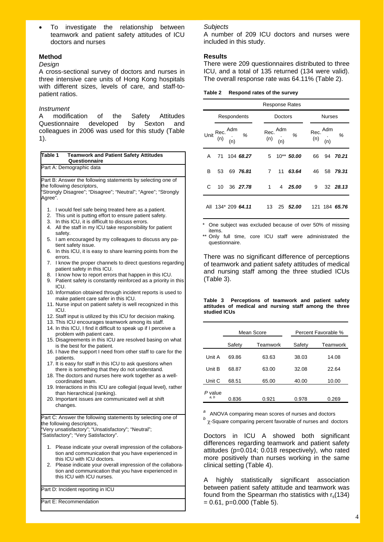To investigate the relationship between teamwork and patient safety attitudes of ICU doctors and nurses

#### **Method**

#### *Design*

A cross-sectional survey of doctors and nurses in three intensive care units of Hong Kong hospitals with different sizes, levels of care, and staff-topatient ratios.

#### *Instrument*

A modification of the Safety Attitudes Questionnaire developed by Sexton and colleagues in 2006 was used for this study (Table 1).

| Table 1 | <b>Teamwork and Patient Safety Attitudes</b><br>Questionnaire                                                     |
|---------|-------------------------------------------------------------------------------------------------------------------|
|         | Part A: Demographic data                                                                                          |
|         |                                                                                                                   |
|         | Part B: Answer the following statements by selecting one of                                                       |
|         | the following descriptors,                                                                                        |
|         | "Strongly Disagree"; "Disagree"; "Neutral"; "Agree"; "Strongly                                                    |
| Agree". |                                                                                                                   |
| 1.      | I would feel safe being treated here as a patient.                                                                |
| 2.      | This unit is putting effort to ensure patient safety.                                                             |
| 3.      | In this ICU, it is difficult to discuss errors.                                                                   |
| 4.      | All the staff in my ICU take responsibility for patient                                                           |
|         | safety.                                                                                                           |
| 5.      | I am encouraged by my colleagues to discuss any pa-                                                               |
|         | tient safety issue.                                                                                               |
| 6.      | In this ICU, it is easy to share learning points from the                                                         |
|         | errors.                                                                                                           |
| 7.      | I know the proper channels to direct questions regarding                                                          |
|         | patient safety in this ICU.                                                                                       |
| 8.      | I know how to report errors that happen in this ICU.                                                              |
| 9.      | Patient safety is constantly reinforced as a priority in this                                                     |
|         | ICU.                                                                                                              |
|         | 10. Information obtained through incident reports is used to                                                      |
|         | make patient care safer in this ICU.                                                                              |
|         | 11. Nurse input on patient safety is well recognized in this<br>ICU.                                              |
|         |                                                                                                                   |
|         | 12. Staff input is utilized by this ICU for decision making.<br>13. This ICU encourages teamwork among its staff. |
|         | 14. In this ICU, I find it difficult to speak up if I perceive a                                                  |
|         | problem with patient care.                                                                                        |
|         | 15. Disagreements in this ICU are resolved basing on what                                                         |
|         | is the best for the patient.                                                                                      |
|         | 16. I have the support I need from other staff to care for the                                                    |
|         | patients.                                                                                                         |
|         | 17. It is easy for staff in this ICU to ask questions when                                                        |
|         | there is something that they do not understand.                                                                   |
|         | 18. The doctors and nurses here work together as a well-                                                          |
|         | coordinated team.                                                                                                 |
|         | 19. Interactions in this ICU are collegial (equal level), rather                                                  |
|         | than hierarchical (ranking).                                                                                      |
|         | 20. Important issues are communicated well at shift                                                               |
|         | changes.                                                                                                          |
|         |                                                                                                                   |
|         | Part C: Answer the following statements by selecting one of                                                       |
|         | the following descriptors,                                                                                        |
|         | "Very unsatisfactory"; "Unsatisfactory"; "Neutral";                                                               |
|         | "Satisfactory"; "Very Satisfactory".                                                                              |
|         |                                                                                                                   |
| 1.      | Please indicate your overall impression of the collabora-<br>tion and communication that you have experienced in  |
|         | this ICU with ICU doctors.                                                                                        |
| 2.      | Please indicate your overall impression of the collabora-                                                         |
|         | tion and communication that you have experienced in                                                               |
|         | this ICU with ICU nurses.                                                                                         |
|         |                                                                                                                   |
|         | Part D: Incident reporting in ICU                                                                                 |
|         |                                                                                                                   |

Part E: Recommendation

#### *Subjects*

A number of 209 ICU doctors and nurses were included in this study.

#### **Results**

There were 209 questionnaires distributed to three ICU, and a total of 135 returned (134 were valid). The overall response rate was 64.11% (Table 2).

| Table 2 | Respond rates of the survey |  |  |  |  |
|---------|-----------------------------|--|--|--|--|
|---------|-----------------------------|--|--|--|--|

|   |                                                 |                    |                |                         | <b>Response Rates</b> |                         |               |               |  |
|---|-------------------------------------------------|--------------------|----------------|-------------------------|-----------------------|-------------------------|---------------|---------------|--|
|   |                                                 | Respondents        |                | Doctors                 |                       |                         | <b>Nurses</b> |               |  |
|   | Unit Rec. $\frac{\mathsf{Adm}}{\mathsf{(n)}}$ % |                    |                | Rec. $Adm$<br>(n) $(n)$ | %                     | Rec. $Adm$<br>(n) $(n)$ |               | %             |  |
| A | 71                                              | 104 68.27          | 5              |                         | 10** 50.00            | 66                      | 94            | 70.21         |  |
| в | 53                                              | 69 76.81           | $\overline{7}$ |                         | 11 63.64              | 46                      | 58            | 79.31         |  |
| C | 10                                              | 36 27.78           | 1              |                         | 4 25.00               | 9                       |               | 32 28.13      |  |
|   |                                                 | All 134* 209 64.11 | 13             |                         | 25 52.00              |                         |               | 121 184 65.76 |  |

One subject was excluded because of over 50% of missing items.

\*\* Only full time, core ICU staff were administrated the questionnaire.

There was no significant difference of perceptions of teamwork and patient safety attitudes of medical and nursing staff among the three studied ICUs (Table 3).

**Table 3 Perceptions of teamwork and patient safety attitudes of medical and nursing staff among the three studied ICUs**

|                 |        | Mean Score |        | Percent Favorable % |
|-----------------|--------|------------|--------|---------------------|
|                 | Safety | Teamwork   | Safety | Teamwork            |
| Unit A          | 69.86  | 63.63      | 38.03  | 14.08               |
| Unit B          | 68.87  | 63.00      | 32.08  | 22.64               |
| Unit C          | 68.51  | 65.00      | 40.00  | 10.00               |
| P value<br>a, b | 0.836  | 0.921      | 0.978  | 0.269               |

*<sup>a</sup>* ANOVA comparing mean scores of nurses and doctors

*b*</sup> *χ*-Square comparing percent favorable of nurses and doctors

Doctors in ICU A showed both significant differences regarding teamwork and patient safety attitudes (p=0.014; 0.018 respectively), who rated more positively than nurses working in the same clinical setting (Table 4).

A highly statistically significant association between patient safety attitude and teamwork was found from the Spearman rho statistics with  $r_s(134)$  $= 0.61$ , p=0.000 (Table 5).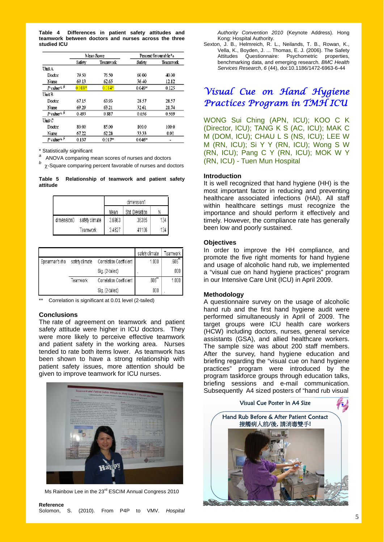**Table 4 Differences in patient safety attitudes and teamwork between doctors and nurses across the three studied ICU**

|                                        |          | Mean Score | Percent favourable <sup>9</sup> |          |  |
|----------------------------------------|----------|------------|---------------------------------|----------|--|
|                                        | Safety   | Teamwork   | Safety                          | Teamwork |  |
| UnitA                                  |          |            |                                 |          |  |
| Doctor                                 | 79.50    | 76.50      | 60.00                           | 40.00    |  |
| Nurse                                  | 69.13    | 62.65      | 36.40                           | 12.12    |  |
| Pvalue <sup>3, b</sup>                 | $0.018*$ | $0.014*$   | $0.049$ <sup>*</sup>            | 0.125    |  |
| Unit B                                 |          |            |                                 |          |  |
| Doctor                                 | 67.15    | 63.93      | 28.57                           | 28.57    |  |
| Nurse                                  | 69.29    | 63.21      | 32.61                           | 21.74    |  |
| $P$ value <sup><math>a, b</math></sup> | 0.493    | 0.887      | 0.656                           | 0.569    |  |
| Unit C                                 |          |            |                                 |          |  |
| Doctor                                 | 80.00    | 85.00      | 100.0                           | 100.0    |  |
| Nurse                                  | 67.22    | 62.28      | 33.33                           | 0.00.    |  |
| P value <sup>13</sup>                  | 0.137    | $0.017*$   | $0.046*$                        |          |  |

\* Statistically significant

*<sup>a</sup>* ANOVA comparing mean scores of nurses and doctors *b*

-Square comparing percent favorable of nurses and doctors

**Table 5 Relationship of teamwork and patient safety attitude** 

|            |                | dimension1 |                |     |
|------------|----------------|------------|----------------|-----|
|            |                | Mean       | Std. Deviation |     |
| dimension0 | safety climate | 3.6963     | .36365         | 134 |
|            | Teamwork       | 3.4627     | .41106         | 134 |

|                |                |                         | safety climate | Teamwork    |
|----------------|----------------|-------------------------|----------------|-------------|
| Spearman's rho | safety climate | Correlation Coefficient | 1.000          | $.606^{**}$ |
|                |                | Sig. (2-tailed)         |                | .000        |
|                | Teamwork       | Correlation Coefficient | $.606^{**}$    | 1.000       |
|                |                | Sig. (2-tailed)         | .000           |             |

Correlation is significant at 0.01 level (2-tailed)

#### **Conclusions**

The rate of agreement on teamwork and patient safety attitude were higher in ICU doctors. They were more likely to perceive effective teamwork and patient safety in the working area. Nurses tended to rate both items lower. As teamwork has been shown to have a strong relationship with patient safety issues, more attention should be given to improve teamwork for ICU nurses.



Ms Rainbow Lee in the 23<sup>rd</sup> ESCIM Annual Congress 2010

| Reference                                     |  |  |  |  |
|-----------------------------------------------|--|--|--|--|
| Solomon, S. (2010). From P4P to VMV. Hospital |  |  |  |  |

 *Authority Convention 2010* (Keynote Address). Hong Kong: Hospital Authority.

Sexton, J. B., Helmreich, R. L., Neilands, T. B., Rowan, K., Vella, K., Boyden, J. ... Thomas, E. J. (2006). The Safety Attitudes Questionnaire: Psychometric properties, benchmarking data, and emerging research. *BMC Health Services Research*, *6* (44), doi:10.1186/1472-6963-6-44

# *Visual Cue on Hand Hygiene Practices Program in TMH ICU*

WONG Sui Ching (APN, ICU); KOO C K (Director, ICU); TANG K S (AC, ICU); MAK C M (DOM, ICU); CHAU L S (NS, ICU); LEE W M (RN, ICU); Si Y Y (RN, ICU); Wong S W (RN, ICU); Pang C Y (RN, ICU); MOK W Y (RN, ICU) - Tuen Mun Hospital

#### **Introduction**

It is well recognized that hand hygiene (HH) is the most important factor in reducing and preventing healthcare associated infections (HAI). All staff within healthcare settings must recognize the importance and should perform it effectively and timely. However, the compliance rate has generally been low and poorly sustained.

#### **Objectives**

In order to improve the HH compliance, and promote the five right moments for hand hygiene and usage of alcoholic hand rub, we implemented a "visual cue on hand hygiene practices" program in our Intensive Care Unit (ICU) in April 2009.

#### **Methodology**

A questionnaire survey on the usage of alcoholic hand rub and the first hand hygiene audit were performed simultaneously in April of 2009. The target groups were ICU health care workers (HCW) including doctors, nurses, general service assistants (GSA), and allied healthcare workers. The sample size was about 200 staff members. After the survey, hand hygiene education and briefing regarding the "visual cue on hand hygiene practices" program were introduced by the program taskforce groups through education talks, briefing sessions and e-mail communication. Subsequently A4 sized posters of "hand rub visual

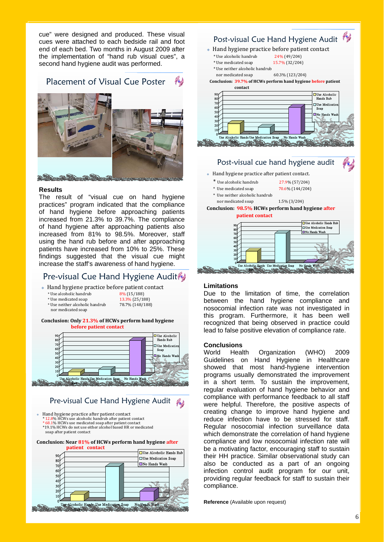cue" were designed and produced. These visual cues were attached to each bedside rail and foot end of each bed. Two months in August 2009 after the implementation of "hand rub visual cues", a second hand hygiene audit was performed.

# Placement of Visual Cue Poster



#### **Results**

The result of "visual cue on hand hygiene practices" program indicated that the compliance of hand hygiene before approaching patients increased from 21.3% to 39.7%. The compliance of hand hygiene after approaching patients also increased from 81% to 98.5%. Moreover, staff using the hand rub before and after approaching patients have increased from 10% to 25%. These findings suggested that the visual cue might increase the staff's awareness of hand hygiene.

## Pre-visual Cue Hand Hygiene Audit

- Hand hygiene practice before patient contact
	-
	- \* Use alcoholic handrub<br>
	\* Use medicated soan<br>
	13.3% (25/18)
	- $*$  Use neither alcoholic handrub nor medicated soap
- 13.3% (25/188)<br>78.7% (148/188)





### Pre-visual Cue Hand Hygiene Audit

 Hand hygiene practice after patient contact \* 12.8% HCWs use alcoholic handrub after patient contact \* 68.1% HCWs use medicated soap after patient contact \*19.1% HCWs do not use either alcohol based HR or medicated soap after patient contact







#### **Limitations**

Due to the limitation of time, the correlation between the hand hygiene compliance and nosocomial infection rate was not investigated in this program. Furthermore, it has been well recognized that being observed in practice could lead to false positive elevation of compliance rate.

#### **Conclusions**

World Health Organization (WHO) 2009 Guidelines on Hand Hygiene in Healthcare showed that most hand-hygiene intervention programs usually demonstrated the improvement in a short term. To sustain the improvement, regular evaluation of hand hygiene behavior and compliance with performance feedback to all staff were helpful. Therefore, the positive aspects of creating change to improve hand hygiene and reduce infection have to be stressed for staff. Regular nosocomial infection surveillance data which demonstrate the correlation of hand hygiene compliance and low nosocomial infection rate will be a motivating factor, encouraging staff to sustain their HH practice. Similar observational study can also be conducted as a part of an ongoing infection control audit program for our unit, providing regular feedback for staff to sustain their compliance.

**Reference** (Available upon request)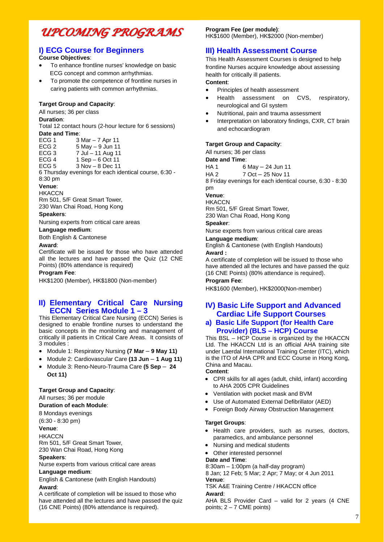# *UPCOMING PROGRAMS UPCOMING PROGRAMS*

### **I) ECG Course for Beginners**

#### **Course Objectives**:

- To enhance frontline nurses' knowledge on basic ECG concept and common arrhythmias.
- To promote the competence of frontline nurses in caring patients with common arrhythmias.

#### **Target Group and Capacity**:

All nurses; 36 per class

#### **Duration**:

Total 12 contact hours (2-hour lecture for 6 sessions) **Date and Time**:

| ECG 1 | 3 Mar – 7 Apr 11  |
|-------|-------------------|
| ECG 2 | 5 May - 9 Jun 11  |
| ECG 3 | 7 Jul - 11 Aug 11 |
| ECG 4 | 1 Sep – 6 Oct 11  |
|       |                   |

ECG  $5$   $3$  Nov –  $8$  Dec 11

6 Thursday evenings for each identical course, 6:30 - 8:30 pm

#### **Venue**:

**HKACCN** 

Rm 501, 5/F Great Smart Tower, 230 Wan Chai Road, Hong Kong

#### **Speakers**:

Nursing experts from critical care areas

#### **Language medium**:

Both English & Cantonese

#### **Award**:

Certificate will be issued for those who have attended all the lectures and have passed the Quiz (12 CNE Points) (80% attendance is required)

#### **Program Fee**:

HK\$1200 (Member), HK\$1800 (Non-member)

#### **II) Elementary Critical Care Nursing ECCN Series Module 1 – 3**

This Elementary Critical Care Nursing (ECCN) Series is designed to enable frontline nurses to understand the basic concepts in the monitoring and management of critically ill patients in Critical Care Areas. It consists of 3 modules :

- Module 1: Respiratory Nursing (7 Mar 9 May 11)
- Module 2: Cardiovascular Care **(13 Jun 1 Aug 11)**
- Module 3: Reno-Neuro-Trauma Care **(5 Sep 24 Oct 11)**

#### **Target Group and Capacity**:

All nurses; 36 per module

**Duration of each Module**:

#### 8 Mondays evenings

(6:30 - 8:30 pm) **Venue**:

**HKACCN** Rm 501, 5/F Great Smart Tower,

230 Wan Chai Road, Hong Kong

#### **Speakers**:

Nurse experts from various critical care areas **Language medium**:

English & Cantonese (with English Handouts) **Award**:

A certificate of completion will be issued to those who have attended all the lectures and have passed the quiz (16 CNE Points) (80% attendance is required).

#### **Program Fee (per module)**:

HK\$1600 (Member), HK\$2000 (Non-member)

#### **III) Health Assessment Course**

This Health Assessment Courses is designed to help frontline Nurses acquire knowledge about assessing health for critically ill patients.

#### **Content**:

- Principles of health assessment
- Health assessment on CVS, respiratory, neurological and GI system
- Nutritional, pain and trauma assessment
- Interpretation on laboratory findings, CXR, CT brain and echocardiogram

#### **Target Group and Capacity**:

All nurses; 36 per class

#### **Date and Time**:

HA 1 6 May – 24 Jun 11

HA 2 7 Oct – 25 Nov 11

8 Friday evenings for each identical course, 6:30 - 8:30 pm

#### **Venue**:

**HKACCN** 

Rm 501, 5/F Great Smart Tower, 230 Wan Chai Road, Hong Kong

#### **Speaker**:

Nurse experts from various critical care areas

#### **Language medium**:

English & Cantonese (with English Handouts) **Award :** 

A certificate of completion will be issued to those who have attended all the lectures and have passed the quiz (16 CNE Points) (80% attendance is required).

#### **Program Fee**:

HK\$1600 (Member), HK\$2000(Non-member)

#### **IV) Basic Life Support and Advanced Cardiac Life Support Courses**

#### **a) Basic Life Support (for Health Care Provider) (BLS – HCP) Course**

This BSL – HCP Course is organized by the HKACCN Ltd. The HKACCN Ltd is an official AHA training site under Laerdal International Training Center (ITC), which is the ITO of AHA CPR and ECC Course in Hong Kong, China and Macau.

#### **Content**:

- CPR skills for all ages (adult, child, infant) according to AHA 2005 CPR Guidelines
- Ventilation with pocket mask and BVM
- Use of Automated External Defibrillator (AED)
- Foreign Body Airway Obstruction Management

#### **Target Groups**:

- Health care providers, such as nurses, doctors, paramedics, and ambulance personnel
- Nursing and medical students
- Other interested personnel

#### **Date and Time**:

8:30am – 1:00pm (a half-day program)

8 Jan; 12 Feb; 5 Mar; 2 Apr; 7 May; or 4 Jun 2011 **Venue**:

TSK A&E Training Centre / HKACCN office

#### **Award**:

AHA BLS Provider Card – valid for 2 years (4 CNE points;  $2 - 7$  CME points)